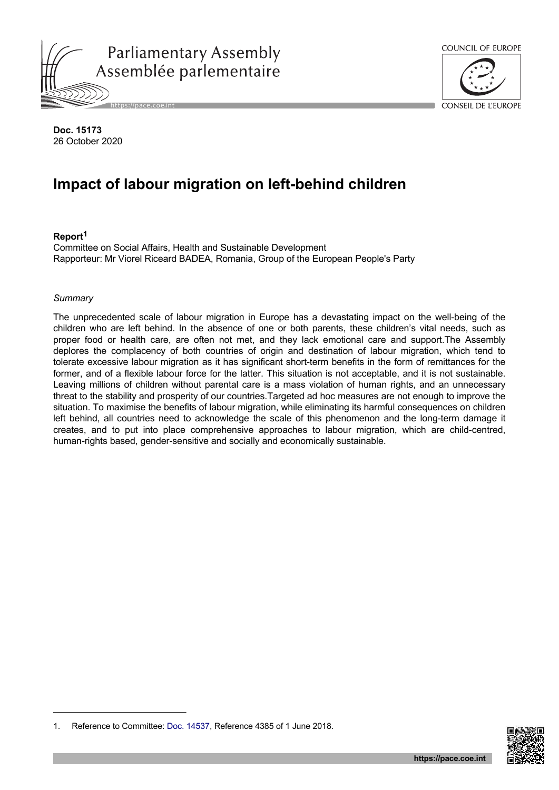



CONSEIL DE L'ELIROPE

**Doc. 15173** 26 October 2020

# **Impact of labour migration on left-behind children**

#### **Report<sup>1</sup>**

Committee on Social Affairs, Health and Sustainable Development Rapporteur: Mr Viorel Riceard BADEA, Romania, Group of the European People's Party

#### *Summary*

The unprecedented scale of labour migration in Europe has a devastating impact on the well-being of the children who are left behind. In the absence of one or both parents, these children's vital needs, such as proper food or health care, are often not met, and they lack emotional care and support.The Assembly deplores the complacency of both countries of origin and destination of labour migration, which tend to tolerate excessive labour migration as it has significant short-term benefits in the form of remittances for the former, and of a flexible labour force for the latter. This situation is not acceptable, and it is not sustainable. Leaving millions of children without parental care is a mass violation of human rights, and an unnecessary threat to the stability and prosperity of our countries.Targeted ad hoc measures are not enough to improve the situation. To maximise the benefits of labour migration, while eliminating its harmful consequences on children left behind, all countries need to acknowledge the scale of this phenomenon and the long-term damage it creates, and to put into place comprehensive approaches to labour migration, which are child-centred, human-rights based, gender-sensitive and socially and economically sustainable.



<sup>1.</sup> Reference to Committee: [Doc. 14537](https://pace.coe.int/en/files/24659), Reference 4385 of 1 June 2018.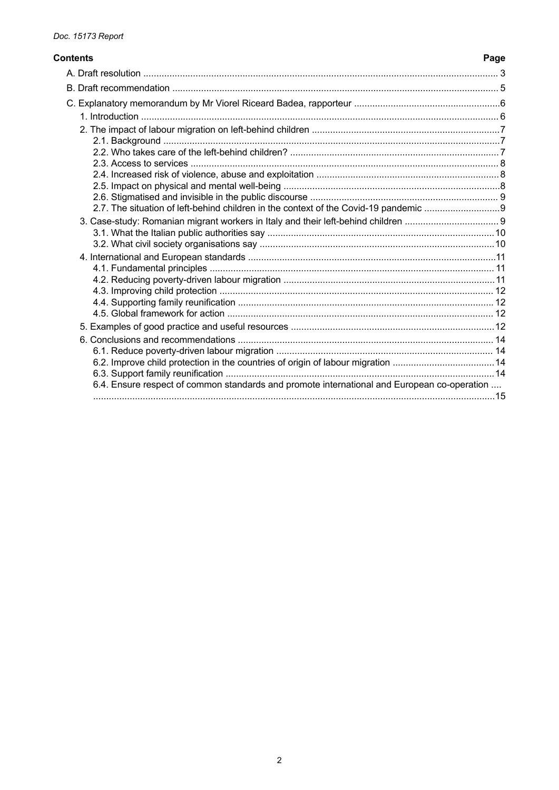# **Contents**

| 2.7. The situation of left-behind children in the context of the Covid-19 pandemic          |
|---------------------------------------------------------------------------------------------|
|                                                                                             |
|                                                                                             |
|                                                                                             |
|                                                                                             |
|                                                                                             |
|                                                                                             |
|                                                                                             |
|                                                                                             |
|                                                                                             |
|                                                                                             |
|                                                                                             |
|                                                                                             |
| 6.4. Ensure respect of common standards and promote international and European co-operation |
|                                                                                             |
|                                                                                             |

Page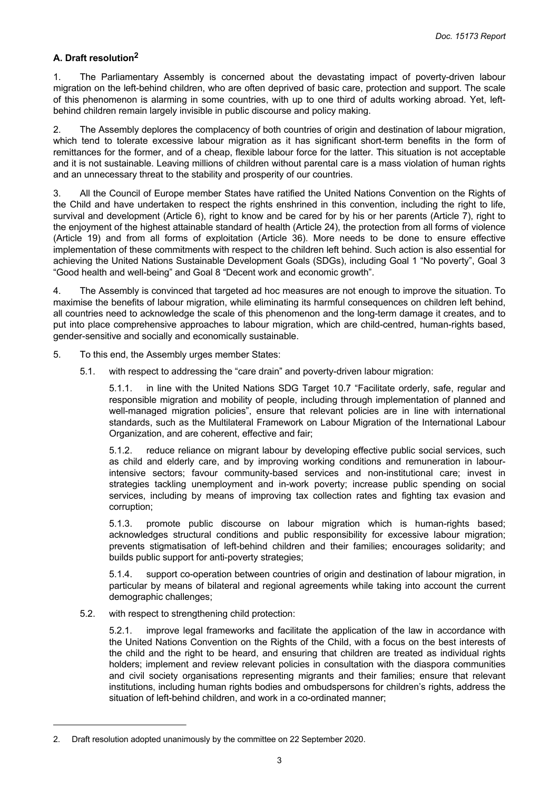## <span id="page-2-0"></span>**A. Draft resolution<sup>2</sup>**

1. The Parliamentary Assembly is concerned about the devastating impact of poverty-driven labour migration on the left-behind children, who are often deprived of basic care, protection and support. The scale of this phenomenon is alarming in some countries, with up to one third of adults working abroad. Yet, leftbehind children remain largely invisible in public discourse and policy making.

2. The Assembly deplores the complacency of both countries of origin and destination of labour migration, which tend to tolerate excessive labour migration as it has significant short-term benefits in the form of remittances for the former, and of a cheap, flexible labour force for the latter. This situation is not acceptable and it is not sustainable. Leaving millions of children without parental care is a mass violation of human rights and an unnecessary threat to the stability and prosperity of our countries.

3. All the Council of Europe member States have ratified the United Nations Convention on the Rights of the Child and have undertaken to respect the rights enshrined in this convention, including the right to life, survival and development (Article 6), right to know and be cared for by his or her parents (Article 7), right to the enjoyment of the highest attainable standard of health (Article 24), the protection from all forms of violence (Article 19) and from all forms of exploitation (Article 36). More needs to be done to ensure effective implementation of these commitments with respect to the children left behind. Such action is also essential for achieving the United Nations Sustainable Development Goals (SDGs), including Goal 1 "No poverty", Goal 3 "Good health and well-being" and Goal 8 "Decent work and economic growth".

4. The Assembly is convinced that targeted ad hoc measures are not enough to improve the situation. To maximise the benefits of labour migration, while eliminating its harmful consequences on children left behind, all countries need to acknowledge the scale of this phenomenon and the long-term damage it creates, and to put into place comprehensive approaches to labour migration, which are child-centred, human-rights based, gender-sensitive and socially and economically sustainable.

- 5. To this end, the Assembly urges member States:
	- 5.1. with respect to addressing the "care drain" and poverty-driven labour migration:

5.1.1. in line with the United Nations SDG Target 10.7 "Facilitate orderly, safe, regular and responsible migration and mobility of people, including through implementation of planned and well-managed migration policies", ensure that relevant policies are in line with international standards, such as the Multilateral Framework on Labour Migration of the International Labour Organization, and are coherent, effective and fair;

5.1.2. reduce reliance on migrant labour by developing effective public social services, such as child and elderly care, and by improving working conditions and remuneration in labourintensive sectors; favour community-based services and non-institutional care; invest in strategies tackling unemployment and in-work poverty; increase public spending on social services, including by means of improving tax collection rates and fighting tax evasion and corruption;

5.1.3. promote public discourse on labour migration which is human-rights based; acknowledges structural conditions and public responsibility for excessive labour migration; prevents stigmatisation of left-behind children and their families; encourages solidarity; and builds public support for anti-poverty strategies;

5.1.4. support co-operation between countries of origin and destination of labour migration, in particular by means of bilateral and regional agreements while taking into account the current demographic challenges;

5.2. with respect to strengthening child protection:

5.2.1. improve legal frameworks and facilitate the application of the law in accordance with the United Nations Convention on the Rights of the Child, with a focus on the best interests of the child and the right to be heard, and ensuring that children are treated as individual rights holders; implement and review relevant policies in consultation with the diaspora communities and civil society organisations representing migrants and their families; ensure that relevant institutions, including human rights bodies and ombudspersons for children's rights, address the situation of left-behind children, and work in a co-ordinated manner;

<sup>2.</sup> Draft resolution adopted unanimously by the committee on 22 September 2020.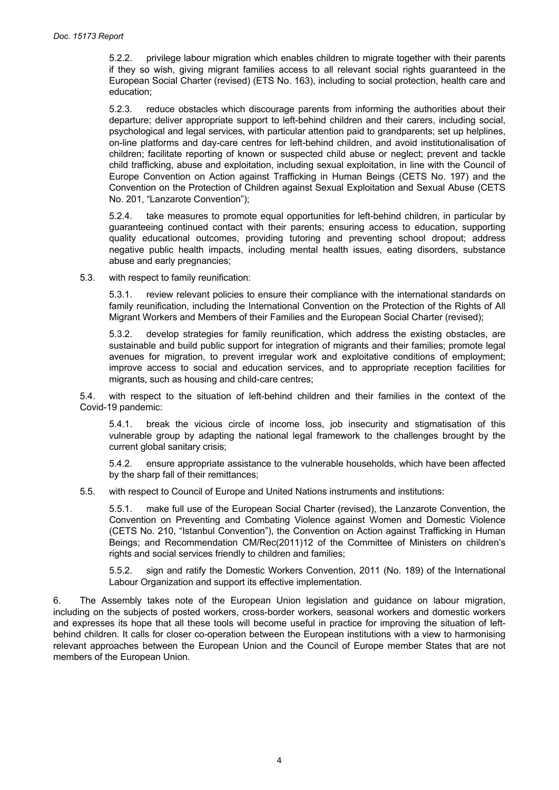5.2.2. privilege labour migration which enables children to migrate together with their parents if they so wish, giving migrant families access to all relevant social rights guaranteed in the European Social Charter (revised) (ETS No. 163), including to social protection, health care and education;

5.2.3. reduce obstacles which discourage parents from informing the authorities about their departure; deliver appropriate support to left-behind children and their carers, including social, psychological and legal services, with particular attention paid to grandparents; set up helplines, on-line platforms and day-care centres for left-behind children, and avoid institutionalisation of children; facilitate reporting of known or suspected child abuse or neglect; prevent and tackle child trafficking, abuse and exploitation, including sexual exploitation, in line with the Council of Europe Convention on Action against Trafficking in Human Beings (CETS No. 197) and the Convention on the Protection of Children against Sexual Exploitation and Sexual Abuse (CETS No. 201, "Lanzarote Convention");

5.2.4. take measures to promote equal opportunities for left-behind children, in particular by guaranteeing continued contact with their parents; ensuring access to education, supporting quality educational outcomes, providing tutoring and preventing school dropout; address negative public health impacts, including mental health issues, eating disorders, substance abuse and early pregnancies;

5.3. with respect to family reunification:

5.3.1. review relevant policies to ensure their compliance with the international standards on family reunification, including the International Convention on the Protection of the Rights of All Migrant Workers and Members of their Families and the European Social Charter (revised);

5.3.2. develop strategies for family reunification, which address the existing obstacles, are sustainable and build public support for integration of migrants and their families; promote legal avenues for migration, to prevent irregular work and exploitative conditions of employment; improve access to social and education services, and to appropriate reception facilities for migrants, such as housing and child-care centres;

5.4. with respect to the situation of left-behind children and their families in the context of the Covid-19 pandemic:

5.4.1. break the vicious circle of income loss, job insecurity and stigmatisation of this vulnerable group by adapting the national legal framework to the challenges brought by the current global sanitary crisis;

5.4.2. ensure appropriate assistance to the vulnerable households, which have been affected by the sharp fall of their remittances;

5.5. with respect to Council of Europe and United Nations instruments and institutions:

5.5.1. make full use of the European Social Charter (revised), the Lanzarote Convention, the Convention on Preventing and Combating Violence against Women and Domestic Violence (CETS No. 210, "Istanbul Convention"), the Convention on Action against Trafficking in Human Beings; and Recommendation CM/Rec(2011)12 of the Committee of Ministers on children's rights and social services friendly to children and families;

5.5.2. sign and ratify the Domestic Workers Convention, 2011 (No. 189) of the International Labour Organization and support its effective implementation.

6. The Assembly takes note of the European Union legislation and guidance on labour migration, including on the subjects of posted workers, cross-border workers, seasonal workers and domestic workers and expresses its hope that all these tools will become useful in practice for improving the situation of leftbehind children. It calls for closer co-operation between the European institutions with a view to harmonising relevant approaches between the European Union and the Council of Europe member States that are not members of the European Union.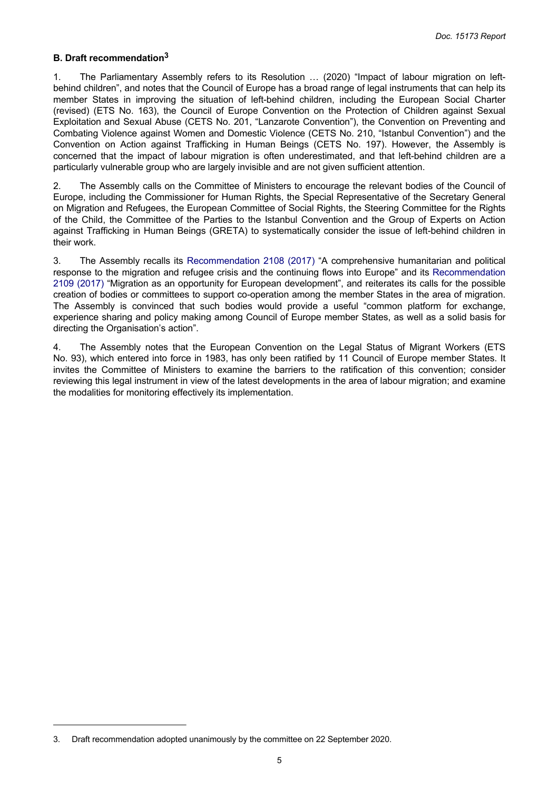#### <span id="page-4-0"></span>**B. Draft recommendation<sup>3</sup>**

1. The Parliamentary Assembly refers to its Resolution … (2020) "Impact of labour migration on leftbehind children", and notes that the Council of Europe has a broad range of legal instruments that can help its member States in improving the situation of left-behind children, including the European Social Charter (revised) (ETS No. 163), the Council of Europe Convention on the Protection of Children against Sexual Exploitation and Sexual Abuse (CETS No. 201, "Lanzarote Convention"), the Convention on Preventing and Combating Violence against Women and Domestic Violence (CETS No. 210, "Istanbul Convention") and the Convention on Action against Trafficking in Human Beings (CETS No. 197). However, the Assembly is concerned that the impact of labour migration is often underestimated, and that left-behind children are a particularly vulnerable group who are largely invisible and are not given sufficient attention.

2. The Assembly calls on the Committee of Ministers to encourage the relevant bodies of the Council of Europe, including the Commissioner for Human Rights, the Special Representative of the Secretary General on Migration and Refugees, the European Committee of Social Rights, the Steering Committee for the Rights of the Child, the Committee of the Parties to the Istanbul Convention and the Group of Experts on Action against Trafficking in Human Beings (GRETA) to systematically consider the issue of left-behind children in their work.

3. The Assembly recalls its [Recommendation](https://pace.coe.int/en/files/23962) 2108 (2017) "A comprehensive humanitarian and political response to the migration and refugee crisis and the continuing flows into Europe" and its [Recommendation](https://pace.coe.int/en/files/23967)  2109 [\(2017\)](https://pace.coe.int/en/files/23967) "Migration as an opportunity for European development", and reiterates its calls for the possible creation of bodies or committees to support co-operation among the member States in the area of migration. The Assembly is convinced that such bodies would provide a useful "common platform for exchange, experience sharing and policy making among Council of Europe member States, as well as a solid basis for directing the Organisation's action".

4. The Assembly notes that the European Convention on the Legal Status of Migrant Workers (ETS No. 93), which entered into force in 1983, has only been ratified by 11 Council of Europe member States. It invites the Committee of Ministers to examine the barriers to the ratification of this convention; consider reviewing this legal instrument in view of the latest developments in the area of labour migration; and examine the modalities for monitoring effectively its implementation.

<sup>3.</sup> Draft recommendation adopted unanimously by the committee on 22 September 2020.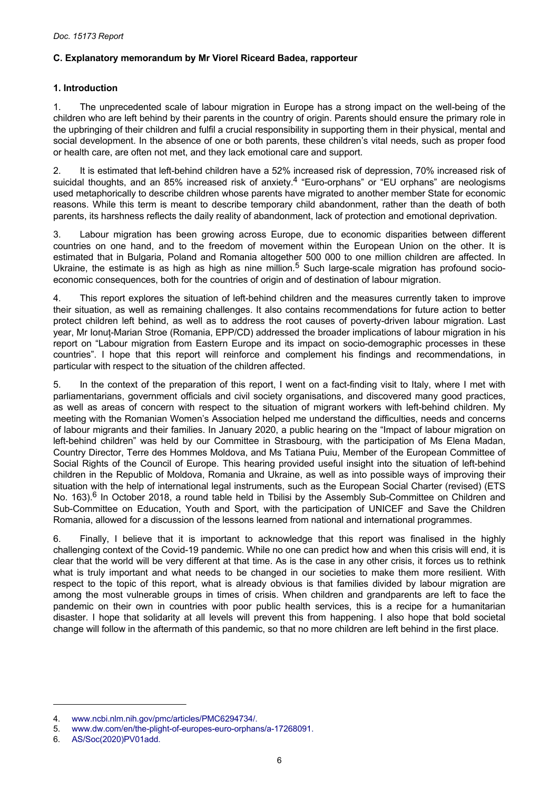## <span id="page-5-0"></span>**C. Explanatory memorandum by Mr Viorel Riceard Badea, rapporteur**

## **1. Introduction**

1. The unprecedented scale of labour migration in Europe has a strong impact on the well-being of the children who are left behind by their parents in the country of origin. Parents should ensure the primary role in the upbringing of their children and fulfil a crucial responsibility in supporting them in their physical, mental and social development. In the absence of one or both parents, these children's vital needs, such as proper food or health care, are often not met, and they lack emotional care and support.

2. It is estimated that left-behind children have a 52% increased risk of depression, 70% increased risk of suicidal thoughts, and an 85% increased risk of anxiety.<sup>4</sup> "Euro-orphans" or "EU orphans" are neologisms used metaphorically to describe children whose parents have migrated to another member State for economic reasons. While this term is meant to describe temporary child abandonment, rather than the death of both parents, its harshness reflects the daily reality of abandonment, lack of protection and emotional deprivation.

3. Labour migration has been growing across Europe, due to economic disparities between different countries on one hand, and to the freedom of movement within the European Union on the other. It is estimated that in Bulgaria, Poland and Romania altogether 500 000 to one million children are affected. In Ukraine, the estimate is as high as high as nine million.<sup>5</sup> Such large-scale migration has profound socioeconomic consequences, both for the countries of origin and of destination of labour migration.

4. This report explores the situation of left-behind children and the measures currently taken to improve their situation, as well as remaining challenges. It also contains recommendations for future action to better protect children left behind, as well as to address the root causes of poverty-driven labour migration. Last year, Mr Ionuț-Marian Stroe (Romania, EPP/CD) addressed the broader implications of labour migration in his report on "Labour migration from Eastern Europe and its impact on socio-demographic processes in these countries". I hope that this report will reinforce and complement his findings and recommendations, in particular with respect to the situation of the children affected.

5. In the context of the preparation of this report, I went on a fact-finding visit to Italy, where I met with parliamentarians, government officials and civil society organisations, and discovered many good practices, as well as areas of concern with respect to the situation of migrant workers with left-behind children. My meeting with the Romanian Women's Association helped me understand the difficulties, needs and concerns of labour migrants and their families. In January 2020, a public hearing on the "Impact of labour migration on left-behind children" was held by our Committee in Strasbourg, with the participation of Ms Elena Madan, Country Director, Terre des Hommes Moldova, and Ms Tatiana Puiu, Member of the European Committee of Social Rights of the Council of Europe. This hearing provided useful insight into the situation of left-behind children in the Republic of Moldova, Romania and Ukraine, as well as into possible ways of improving their situation with the help of international legal instruments, such as the European Social Charter (revised) (ETS No. 163).<sup>6</sup> In October 2018, a round table held in Tbilisi by the Assembly Sub-Committee on Children and Sub-Committee on Education, Youth and Sport, with the participation of UNICEF and Save the Children Romania, allowed for a discussion of the lessons learned from national and international programmes.

6. Finally, I believe that it is important to acknowledge that this report was finalised in the highly challenging context of the Covid-19 pandemic. While no one can predict how and when this crisis will end, it is clear that the world will be very different at that time. As is the case in any other crisis, it forces us to rethink what is truly important and what needs to be changed in our societies to make them more resilient. With respect to the topic of this report, what is already obvious is that families divided by labour migration are among the most vulnerable groups in times of crisis. When children and grandparents are left to face the pandemic on their own in countries with poor public health services, this is a recipe for a humanitarian disaster. I hope that solidarity at all levels will prevent this from happening. I also hope that bold societal change will follow in the aftermath of this pandemic, so that no more children are left behind in the first place.

<sup>4.</sup> [www.ncbi.nlm.nih.gov/pmc/articles/PMC6294734/.](https://www.ncbi.nlm.nih.gov/pmc/articles/PMC6294734/)

<sup>5.</sup> [www.dw.com/en/the-plight-of-europes-euro-orphans/a-17268091.](https://www.dw.com/en/the-plight-of-europes-euro-orphans/a-17268091)

<sup>6.</sup> [AS/Soc\(2020\)PV01add.](http://www.assembly.coe.int/LifeRay/SOC/Pdf/DocsAndDecs/2020/AS-SOC-2020-PV-01-ADD-EN.pdf)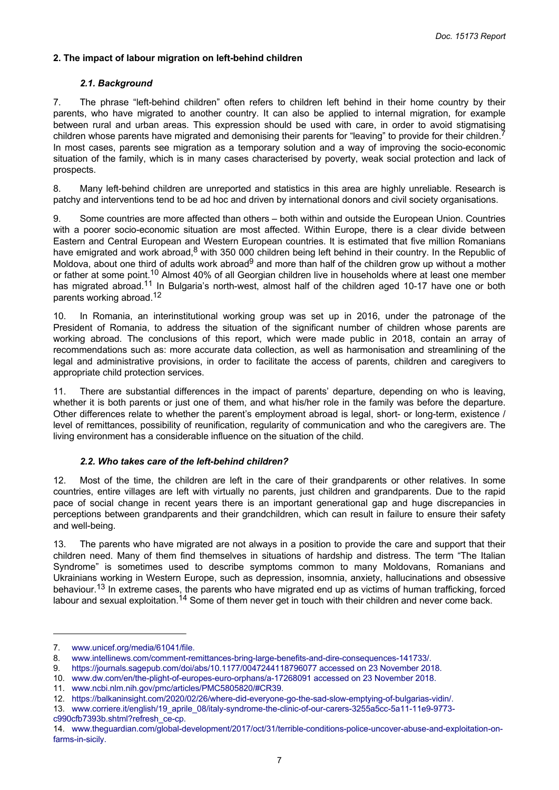## <span id="page-6-0"></span>**2. The impact of labour migration on left-behind children**

#### *2.1. Background*

7. The phrase "left-behind children" often refers to children left behind in their home country by their parents, who have migrated to another country. It can also be applied to internal migration, for example between rural and urban areas. This expression should be used with care, in order to avoid stigmatising children whose parents have migrated and demonising their parents for "leaving" to provide for their children.<sup>7</sup> In most cases, parents see migration as a temporary solution and a way of improving the socio-economic situation of the family, which is in many cases characterised by poverty, weak social protection and lack of prospects.

8. Many left-behind children are unreported and statistics in this area are highly unreliable. Research is patchy and interventions tend to be ad hoc and driven by international donors and civil society organisations.

9. Some countries are more affected than others – both within and outside the European Union. Countries with a poorer socio-economic situation are most affected. Within Europe, there is a clear divide between Eastern and Central European and Western European countries. It is estimated that five million Romanians have emigrated and work abroad,<sup>8</sup> with 350 000 children being left behind in their country. In the Republic of Moldova, about one third of adults work abroad<sup>9</sup> and more than half of the children grow up without a mother or father at some point.<sup>10</sup> Almost 40% of all Georgian children live in households where at least one member has migrated abroad.<sup>11</sup> In Bulgaria's north-west, almost half of the children aged 10-17 have one or both parents working abroad.<sup>12</sup>

10. In Romania, an interinstitutional working group was set up in 2016, under the patronage of the President of Romania, to address the situation of the significant number of children whose parents are working abroad. The conclusions of this report, which were made public in 2018, contain an array of recommendations such as: more accurate data collection, as well as harmonisation and streamlining of the legal and administrative provisions, in order to facilitate the access of parents, children and caregivers to appropriate child protection services.

11. There are substantial differences in the impact of parents' departure, depending on who is leaving, whether it is both parents or just one of them, and what his/her role in the family was before the departure. Other differences relate to whether the parent's employment abroad is legal, short- or long-term, existence / level of remittances, possibility of reunification, regularity of communication and who the caregivers are. The living environment has a considerable influence on the situation of the child.

#### *2.2. Who takes care of the left-behind children?*

12. Most of the time, the children are left in the care of their grandparents or other relatives. In some countries, entire villages are left with virtually no parents, just children and grandparents. Due to the rapid pace of social change in recent years there is an important generational gap and huge discrepancies in perceptions between grandparents and their grandchildren, which can result in failure to ensure their safety and well-being.

13. The parents who have migrated are not always in a position to provide the care and support that their children need. Many of them find themselves in situations of hardship and distress. The term "The Italian Syndrome" is sometimes used to describe symptoms common to many Moldovans, Romanians and Ukrainians working in Western Europe, such as depression, insomnia, anxiety, hallucinations and obsessive behaviour.<sup>13</sup> In extreme cases, the parents who have migrated end up as victims of human trafficking, forced labour and sexual exploitation.<sup>14</sup> Some of them never get in touch with their children and never come back.

<sup>7.</sup> [www.unicef.org/media/61041/file.](https://www.unicef.org/media/61041/file)

<sup>8.</sup> [www.intellinews.com/comment-remittances-bring-large-benefits-and-dire-consequences-141733/.](https://www.intellinews.com/comment-remittances-bring-large-benefits-and-dire-consequences-141733/)

<sup>9.</sup> [https://journals.sagepub.com/doi/abs/10.1177/0047244118796077 accessed on 23 November 2018.](https://journals.sagepub.com/doi/abs/10.1177/0047244118796077)

<sup>10.</sup> [www.dw.com/en/the-plight-of-europes-euro-orphans/a-17268091 accessed on 23 November 2018.](https://www.dw.com/en/the-plight-of-europes-euro-orphans/a-17268091)

<sup>11.</sup> [www.ncbi.nlm.nih.gov/pmc/articles/PMC5805820/#CR39.](https://www.ncbi.nlm.nih.gov/pmc/articles/PMC5805820/)

<sup>12.</sup> [https://balkaninsight.com/2020/02/26/where-did-everyone-go-the-sad-slow-emptying-of-bulgarias-vidin/.](https://balkaninsight.com/2020/02/26/where-did-everyone-go-the-sad-slow-emptying-of-bulgarias-vidin/)

<sup>13.</sup> [www.corriere.it/english/19\\_aprile\\_08/italy-syndrome-the-clinic-of-our-carers-3255a5cc-5a11-11e9-9773](https://www.corriere.it/english/19_aprile_08/italy-syndrome-the-clinic-of-our-carers-3255a5cc-5a11-11e9-9773-c990cfb7393b.shtml?refresh_ce-cp) [c990cfb7393b.shtml?refresh\\_ce-cp.](https://www.corriere.it/english/19_aprile_08/italy-syndrome-the-clinic-of-our-carers-3255a5cc-5a11-11e9-9773-c990cfb7393b.shtml?refresh_ce-cp)

<sup>14.</sup> [www.theguardian.com/global-development/2017/oct/31/terrible-conditions-police-uncover-abuse-and-exploitation-on](https://www.theguardian.com/global-development/2017/oct/31/terrible-conditions-police-uncover-abuse-and-exploitation-on-farms-in-sicily)[farms-in-sicily.](https://www.theguardian.com/global-development/2017/oct/31/terrible-conditions-police-uncover-abuse-and-exploitation-on-farms-in-sicily)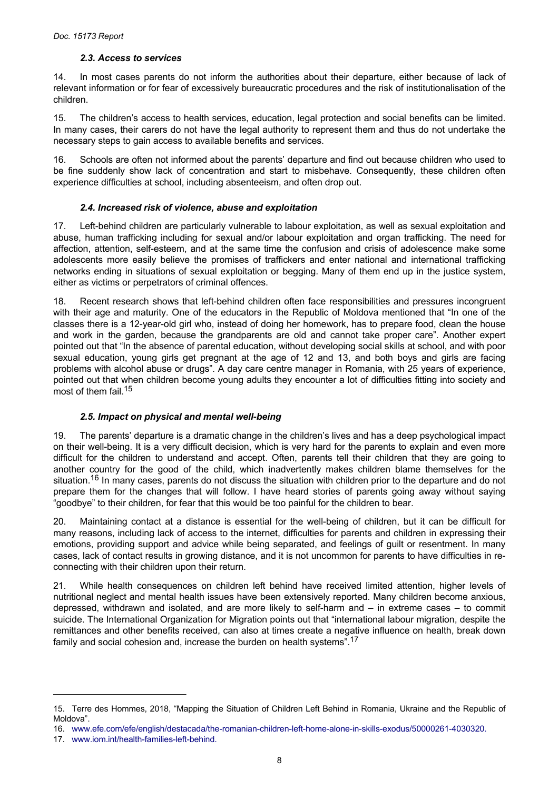#### *2.3. Access to services*

<span id="page-7-0"></span>14. In most cases parents do not inform the authorities about their departure, either because of lack of relevant information or for fear of excessively bureaucratic procedures and the risk of institutionalisation of the children.

15. The children's access to health services, education, legal protection and social benefits can be limited. In many cases, their carers do not have the legal authority to represent them and thus do not undertake the necessary steps to gain access to available benefits and services.

16. Schools are often not informed about the parents' departure and find out because children who used to be fine suddenly show lack of concentration and start to misbehave. Consequently, these children often experience difficulties at school, including absenteeism, and often drop out.

## *2.4. Increased risk of violence, abuse and exploitation*

17. Left-behind children are particularly vulnerable to labour exploitation, as well as sexual exploitation and abuse, human trafficking including for sexual and/or labour exploitation and organ trafficking. The need for affection, attention, self-esteem, and at the same time the confusion and crisis of adolescence make some adolescents more easily believe the promises of traffickers and enter national and international trafficking networks ending in situations of sexual exploitation or begging. Many of them end up in the justice system, either as victims or perpetrators of criminal offences.

18. Recent research shows that left-behind children often face responsibilities and pressures incongruent with their age and maturity. One of the educators in the Republic of Moldova mentioned that "In one of the classes there is a 12-year-old girl who, instead of doing her homework, has to prepare food, clean the house and work in the garden, because the grandparents are old and cannot take proper care". Another expert pointed out that "In the absence of parental education, without developing social skills at school, and with poor sexual education, young girls get pregnant at the age of 12 and 13, and both boys and girls are facing problems with alcohol abuse or drugs". A day care centre manager in Romania, with 25 years of experience, pointed out that when children become young adults they encounter a lot of difficulties fitting into society and most of them fail.<sup>15</sup>

# *2.5. Impact on physical and mental well-being*

19. The parents' departure is a dramatic change in the children's lives and has a deep psychological impact on their well-being. It is a very difficult decision, which is very hard for the parents to explain and even more difficult for the children to understand and accept. Often, parents tell their children that they are going to another country for the good of the child, which inadvertently makes children blame themselves for the situation.<sup>16</sup> In many cases, parents do not discuss the situation with children prior to the departure and do not prepare them for the changes that will follow. I have heard stories of parents going away without saying "goodbye" to their children, for fear that this would be too painful for the children to bear.

20. Maintaining contact at a distance is essential for the well-being of children, but it can be difficult for many reasons, including lack of access to the internet, difficulties for parents and children in expressing their emotions, providing support and advice while being separated, and feelings of guilt or resentment. In many cases, lack of contact results in growing distance, and it is not uncommon for parents to have difficulties in reconnecting with their children upon their return.

21. While health consequences on children left behind have received limited attention, higher levels of nutritional neglect and mental health issues have been extensively reported. Many children become anxious, depressed, withdrawn and isolated, and are more likely to self-harm and – in extreme cases – to commit suicide. The International Organization for Migration points out that "international labour migration, despite the remittances and other benefits received, can also at times create a negative influence on health, break down family and social cohesion and, increase the burden on health systems".<sup>17</sup>

<sup>15.</sup> Terre des Hommes, 2018, "Mapping the Situation of Children Left Behind in Romania, Ukraine and the Republic of Moldova".

<sup>16.</sup> [www.efe.com/efe/english/destacada/the-romanian-children-left-home-alone-in-skills-exodus/50000261-4030320.](https://www.efe.com/efe/english/destacada/the-romanian-children-left-home-alone-in-skills-exodus/50000261-4030320)

<sup>17.</sup> [www.iom.int/health-families-left-behind.](https://www.iom.int/health-families-left-behind)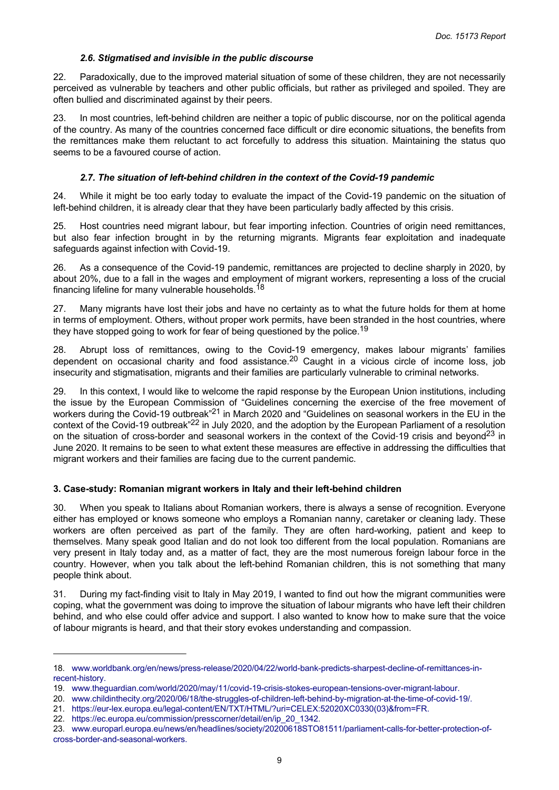#### *2.6. Stigmatised and invisible in the public discourse*

<span id="page-8-0"></span>22. Paradoxically, due to the improved material situation of some of these children, they are not necessarily perceived as vulnerable by teachers and other public officials, but rather as privileged and spoiled. They are often bullied and discriminated against by their peers.

In most countries, left-behind children are neither a topic of public discourse, nor on the political agenda of the country. As many of the countries concerned face difficult or dire economic situations, the benefits from the remittances make them reluctant to act forcefully to address this situation. Maintaining the status quo seems to be a favoured course of action.

## *2.7. The situation of left-behind children in the context of the Covid-19 pandemic*

24. While it might be too early today to evaluate the impact of the Covid-19 pandemic on the situation of left-behind children, it is already clear that they have been particularly badly affected by this crisis.

25. Host countries need migrant labour, but fear importing infection. Countries of origin need remittances, but also fear infection brought in by the returning migrants. Migrants fear exploitation and inadequate safeguards against infection with Covid-19.

26. As a consequence of the Covid-19 pandemic, remittances are projected to decline sharply in 2020, by about 20%, due to a fall in the wages and employment of migrant workers, representing a loss of the crucial financing lifeline for many vulnerable households.<sup>18</sup>

27. Many migrants have lost their jobs and have no certainty as to what the future holds for them at home in terms of employment. Others, without proper work permits, have been stranded in the host countries, where they have stopped going to work for fear of being questioned by the police.<sup>19</sup>

28. Abrupt loss of remittances, owing to the Covid-19 emergency, makes labour migrants' families dependent on occasional charity and food assistance.<sup>20</sup> Caught in a vicious circle of income loss, job insecurity and stigmatisation, migrants and their families are particularly vulnerable to criminal networks.

29. In this context, I would like to welcome the rapid response by the European Union institutions, including the issue by the European Commission of "Guidelines concerning the exercise of the free movement of workers during the Covid-19 outbreak"21 in March 2020 and "Guidelines on seasonal workers in the EU in the context of the Covid-19 outbreak"22 in July 2020, and the adoption by the European Parliament of a resolution on the situation of cross-border and seasonal workers in the context of the Covid-19 crisis and beyond<sup>23</sup> in June 2020. It remains to be seen to what extent these measures are effective in addressing the difficulties that migrant workers and their families are facing due to the current pandemic.

# **3. Case-study: Romanian migrant workers in Italy and their left-behind children**

30. When you speak to Italians about Romanian workers, there is always a sense of recognition. Everyone either has employed or knows someone who employs a Romanian nanny, caretaker or cleaning lady. These workers are often perceived as part of the family. They are often hard-working, patient and keep to themselves. Many speak good Italian and do not look too different from the local population. Romanians are very present in Italy today and, as a matter of fact, they are the most numerous foreign labour force in the country. However, when you talk about the left-behind Romanian children, this is not something that many people think about.

31. During my fact-finding visit to Italy in May 2019, I wanted to find out how the migrant communities were coping, what the government was doing to improve the situation of labour migrants who have left their children behind, and who else could offer advice and support. I also wanted to know how to make sure that the voice of labour migrants is heard, and that their story evokes understanding and compassion.

<sup>18.</sup> [www.worldbank.org/en/news/press-release/2020/04/22/world-bank-predicts-sharpest-decline-of-remittances-in](https://www.worldbank.org/en/news/press-release/2020/04/22/world-bank-predicts-sharpest-decline-of-remittances-in-recent-history)[recent-history.](https://www.worldbank.org/en/news/press-release/2020/04/22/world-bank-predicts-sharpest-decline-of-remittances-in-recent-history)

<sup>19.</sup> [www.theguardian.com/world/2020/may/11/covid-19-crisis-stokes-european-tensions-over-migrant-labour.](https://www.theguardian.com/world/2020/may/11/covid-19-crisis-stokes-european-tensions-over-migrant-labour)

<sup>20.</sup> [www.childinthecity.org/2020/06/18/the-struggles-of-children-left-behind-by-migration-at-the-time-of-covid-19/.](https://www.childinthecity.org/2020/06/18/the-struggles-of-children-left-behind-by-migration-at-the-time-of-covid-19/)

<sup>21.</sup> [https://eur-lex.europa.eu/legal-content/EN/TXT/HTML/?uri=CELEX:52020XC0330\(03\)&from=FR.](https://eur-lex.europa.eu/legal-content/EN/TXT/HTML/?uri=CELEX:52020XC0330(03)&from=FR)

<sup>22.</sup> [https://ec.europa.eu/commission/presscorner/detail/en/ip\\_20\\_1342.](https://ec.europa.eu/commission/presscorner/detail/en/ip_20_1342)

<sup>23.</sup> [www.europarl.europa.eu/news/en/headlines/society/20200618STO81511/parliament-calls-for-better-protection-of](https://www.europarl.europa.eu/news/en/headlines/society/20200618STO81511/parliament-calls-for-better-protection-of-cross-border-and-seasonal-workers)[cross-border-and-seasonal-workers.](https://www.europarl.europa.eu/news/en/headlines/society/20200618STO81511/parliament-calls-for-better-protection-of-cross-border-and-seasonal-workers)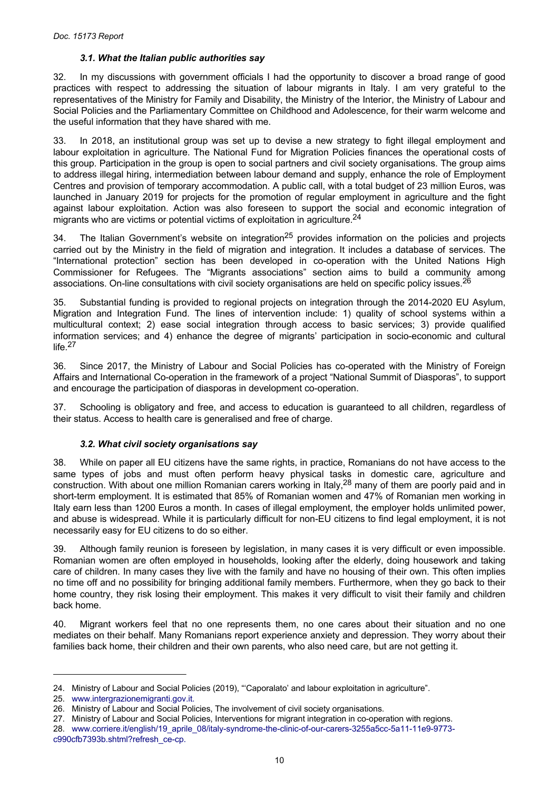#### *3.1. What the Italian public authorities say*

<span id="page-9-0"></span>32. In my discussions with government officials I had the opportunity to discover a broad range of good practices with respect to addressing the situation of labour migrants in Italy. I am very grateful to the representatives of the Ministry for Family and Disability, the Ministry of the Interior, the Ministry of Labour and Social Policies and the Parliamentary Committee on Childhood and Adolescence, for their warm welcome and the useful information that they have shared with me.

33. In 2018, an institutional group was set up to devise a new strategy to fight illegal employment and labour exploitation in agriculture. The National Fund for Migration Policies finances the operational costs of this group. Participation in the group is open to social partners and civil society organisations. The group aims to address illegal hiring, intermediation between labour demand and supply, enhance the role of Employment Centres and provision of temporary accommodation. A public call, with a total budget of 23 million Euros, was launched in January 2019 for projects for the promotion of regular employment in agriculture and the fight against labour exploitation. Action was also foreseen to support the social and economic integration of migrants who are victims or potential victims of exploitation in agriculture.<sup>24</sup>

34. The Italian Government's website on integration<sup>25</sup> provides information on the policies and projects carried out by the Ministry in the field of migration and integration. It includes a database of services. The "International protection" section has been developed in co-operation with the United Nations High Commissioner for Refugees. The "Migrants associations" section aims to build a community among associations. On-line consultations with civil society organisations are held on specific policy issues.<sup>26</sup>

35. Substantial funding is provided to regional projects on integration through the 2014-2020 EU Asylum, Migration and Integration Fund. The lines of intervention include: 1) quality of school systems within a multicultural context; 2) ease social integration through access to basic services; 3) provide qualified information services; and 4) enhance the degree of migrants' participation in socio-economic and cultural life.<sup>27</sup>

36. Since 2017, the Ministry of Labour and Social Policies has co-operated with the Ministry of Foreign Affairs and International Co-operation in the framework of a project "National Summit of Diasporas", to support and encourage the participation of diasporas in development co-operation.

37. Schooling is obligatory and free, and access to education is guaranteed to all children, regardless of their status. Access to health care is generalised and free of charge.

#### *3.2. What civil society organisations say*

38. While on paper all EU citizens have the same rights, in practice, Romanians do not have access to the same types of jobs and must often perform heavy physical tasks in domestic care, agriculture and construction. With about one million Romanian carers working in Italy,<sup>28</sup> many of them are poorly paid and in short-term employment. It is estimated that 85% of Romanian women and 47% of Romanian men working in Italy earn less than 1200 Euros a month. In cases of illegal employment, the employer holds unlimited power, and abuse is widespread. While it is particularly difficult for non-EU citizens to find legal employment, it is not necessarily easy for EU citizens to do so either.

39. Although family reunion is foreseen by legislation, in many cases it is very difficult or even impossible. Romanian women are often employed in households, looking after the elderly, doing housework and taking care of children. In many cases they live with the family and have no housing of their own. This often implies no time off and no possibility for bringing additional family members. Furthermore, when they go back to their home country, they risk losing their employment. This makes it very difficult to visit their family and children back home.

40. Migrant workers feel that no one represents them, no one cares about their situation and no one mediates on their behalf. Many Romanians report experience anxiety and depression. They worry about their families back home, their children and their own parents, who also need care, but are not getting it.

<sup>24.</sup> Ministry of Labour and Social Policies (2019), "'Caporalato' and labour exploitation in agriculture".

<sup>25.</sup> [www.intergrazionemigranti.gov.it.](http://www.intergrazionemigranti.gov.it/)

<sup>26.</sup> Ministry of Labour and Social Policies, The involvement of civil society organisations.

<sup>27.</sup> Ministry of Labour and Social Policies, Interventions for migrant integration in co-operation with regions.

<sup>28.</sup> [www.corriere.it/english/19\\_aprile\\_08/italy-syndrome-the-clinic-of-our-carers-3255a5cc-5a11-11e9-9773](https://www.corriere.it/english/19_aprile_08/italy-syndrome-the-clinic-of-our-carers-3255a5cc-5a11-11e9-9773-c990cfb7393b.shtml?refresh_ce-cp) [c990cfb7393b.shtml?refresh\\_ce-cp.](https://www.corriere.it/english/19_aprile_08/italy-syndrome-the-clinic-of-our-carers-3255a5cc-5a11-11e9-9773-c990cfb7393b.shtml?refresh_ce-cp)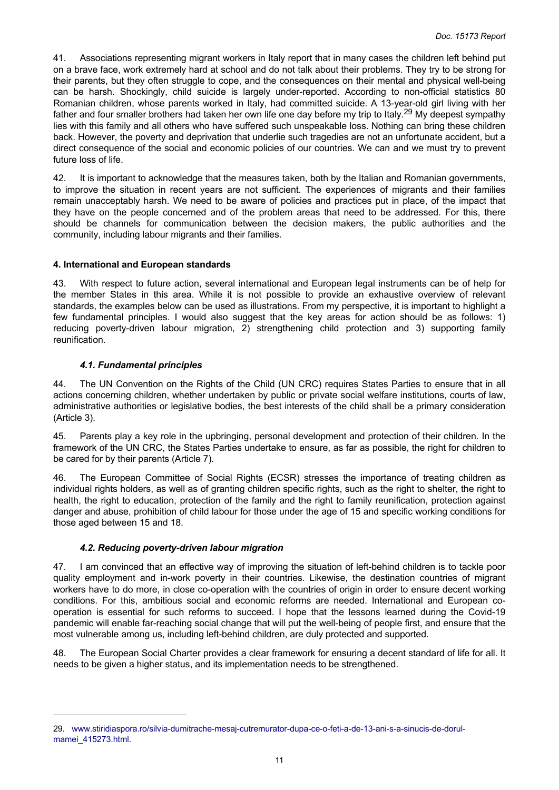<span id="page-10-0"></span>41. Associations representing migrant workers in Italy report that in many cases the children left behind put on a brave face, work extremely hard at school and do not talk about their problems. They try to be strong for their parents, but they often struggle to cope, and the consequences on their mental and physical well-being can be harsh. Shockingly, child suicide is largely under-reported. According to non-official statistics 80 Romanian children, whose parents worked in Italy, had committed suicide. A 13-year-old girl living with her father and four smaller brothers had taken her own life one day before my trip to Italy.29 My deepest sympathy lies with this family and all others who have suffered such unspeakable loss. Nothing can bring these children back. However, the poverty and deprivation that underlie such tragedies are not an unfortunate accident, but a direct consequence of the social and economic policies of our countries. We can and we must try to prevent future loss of life.

42. It is important to acknowledge that the measures taken, both by the Italian and Romanian governments, to improve the situation in recent years are not sufficient. The experiences of migrants and their families remain unacceptably harsh. We need to be aware of policies and practices put in place, of the impact that they have on the people concerned and of the problem areas that need to be addressed. For this, there should be channels for communication between the decision makers, the public authorities and the community, including labour migrants and their families.

## **4. International and European standards**

43. With respect to future action, several international and European legal instruments can be of help for the member States in this area. While it is not possible to provide an exhaustive overview of relevant standards, the examples below can be used as illustrations. From my perspective, it is important to highlight a few fundamental principles. I would also suggest that the key areas for action should be as follows: 1) reducing poverty-driven labour migration, 2) strengthening child protection and 3) supporting family reunification.

## *4.1. Fundamental principles*

44. The UN Convention on the Rights of the Child (UN CRC) requires States Parties to ensure that in all actions concerning children, whether undertaken by public or private social welfare institutions, courts of law, administrative authorities or legislative bodies, the best interests of the child shall be a primary consideration (Article 3).

45. Parents play a key role in the upbringing, personal development and protection of their children. In the framework of the UN CRC, the States Parties undertake to ensure, as far as possible, the right for children to be cared for by their parents (Article 7).

46. The European Committee of Social Rights (ECSR) stresses the importance of treating children as individual rights holders, as well as of granting children specific rights, such as the right to shelter, the right to health, the right to education, protection of the family and the right to family reunification, protection against danger and abuse, prohibition of child labour for those under the age of 15 and specific working conditions for those aged between 15 and 18.

# *4.2. Reducing poverty-driven labour migration*

47. I am convinced that an effective way of improving the situation of left-behind children is to tackle poor quality employment and in-work poverty in their countries. Likewise, the destination countries of migrant workers have to do more, in close co-operation with the countries of origin in order to ensure decent working conditions. For this, ambitious social and economic reforms are needed. International and European cooperation is essential for such reforms to succeed. I hope that the lessons learned during the Covid-19 pandemic will enable far-reaching social change that will put the well-being of people first, and ensure that the most vulnerable among us, including left-behind children, are duly protected and supported.

48. The European Social Charter provides a clear framework for ensuring a decent standard of life for all. It needs to be given a higher status, and its implementation needs to be strengthened.

<sup>29.</sup> [www.stiridiaspora.ro/silvia-dumitrache-mesaj-cutremurator-dupa-ce-o-feti-a-de-13-ani-s-a-sinucis-de-dorul](https://www.stiridiaspora.ro/silvia-dumitrache-mesaj-cutremurator-dupa-ce-o-feti-a-de-13-ani-s-a-sinucis-de-dorul-mamei_415273.html)[mamei\\_415273.html.](https://www.stiridiaspora.ro/silvia-dumitrache-mesaj-cutremurator-dupa-ce-o-feti-a-de-13-ani-s-a-sinucis-de-dorul-mamei_415273.html)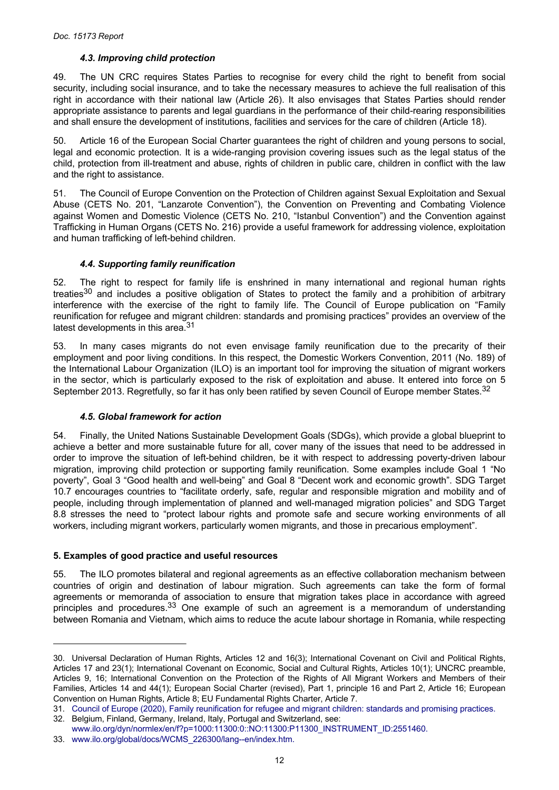## *4.3. Improving child protection*

<span id="page-11-0"></span>49. The UN CRC requires States Parties to recognise for every child the right to benefit from social security, including social insurance, and to take the necessary measures to achieve the full realisation of this right in accordance with their national law (Article 26). It also envisages that States Parties should render appropriate assistance to parents and legal guardians in the performance of their child-rearing responsibilities and shall ensure the development of institutions, facilities and services for the care of children (Article 18).

50. Article 16 of the European Social Charter guarantees the right of children and young persons to social, legal and economic protection. It is a wide-ranging provision covering issues such as the legal status of the child, protection from ill-treatment and abuse, rights of children in public care, children in conflict with the law and the right to assistance.

51. The Council of Europe Convention on the Protection of Children against Sexual Exploitation and Sexual Abuse (CETS No. 201, "Lanzarote Convention"), the Convention on Preventing and Combating Violence against Women and Domestic Violence (CETS No. 210, "Istanbul Convention") and the Convention against Trafficking in Human Organs (CETS No. 216) provide a useful framework for addressing violence, exploitation and human trafficking of left-behind children.

## *4.4. Supporting family reunification*

52. The right to respect for family life is enshrined in many international and regional human rights treaties<sup>30</sup> and includes a positive obligation of States to protect the family and a prohibition of arbitrary interference with the exercise of the right to family life. The Council of Europe publication on "Family reunification for refugee and migrant children: standards and promising practices" provides an overview of the latest developments in this area.<sup>31</sup>

53. In many cases migrants do not even envisage family reunification due to the precarity of their employment and poor living conditions. In this respect, the Domestic Workers Convention, 2011 (No. 189) of the International Labour Organization (ILO) is an important tool for improving the situation of migrant workers in the sector, which is particularly exposed to the risk of exploitation and abuse. It entered into force on 5 September 2013. Regretfully, so far it has only been ratified by seven Council of Europe member States.<sup>32</sup>

#### *4.5. Global framework for action*

54. Finally, the United Nations Sustainable Development Goals (SDGs), which provide a global blueprint to achieve a better and more sustainable future for all, cover many of the issues that need to be addressed in order to improve the situation of left-behind children, be it with respect to addressing poverty-driven labour migration, improving child protection or supporting family reunification. Some examples include Goal 1 "No poverty", Goal 3 "Good health and well-being" and Goal 8 "Decent work and economic growth". SDG Target 10.7 encourages countries to "facilitate orderly, safe, regular and responsible migration and mobility and of people, including through implementation of planned and well-managed migration policies" and SDG Target 8.8 stresses the need to "protect labour rights and promote safe and secure working environments of all workers, including migrant workers, particularly women migrants, and those in precarious employment".

#### **5. Examples of good practice and useful resources**

55. The ILO promotes bilateral and regional agreements as an effective collaboration mechanism between countries of origin and destination of labour migration. Such agreements can take the form of formal agreements or memoranda of association to ensure that migration takes place in accordance with agreed principles and procedures.<sup>33</sup> One example of such an agreement is a memorandum of understanding between Romania and Vietnam, which aims to reduce the acute labour shortage in Romania, while respecting

<sup>30.</sup> Universal Declaration of Human Rights, Articles 12 and 16(3); International Covenant on Civil and Political Rights, Articles 17 and 23(1); International Covenant on Economic, Social and Cultural Rights, Articles 10(1); UNCRC preamble, Articles 9, 16; International Convention on the Protection of the Rights of All Migrant Workers and Members of their Families, Articles 14 and 44(1); European Social Charter (revised), Part 1, principle 16 and Part 2, Article 16; European Convention on Human Rights, Article 8; EU Fundamental Rights Charter, Article 7.

<sup>31.</sup> [Council of Europe \(2020\), Family reunification for refugee and migrant children: standards and promising practices.](https://rm.coe.int/family-reunification-for-refugee-and-migrant-children-standards-and-pr/16809e8320)

<sup>32.</sup> Belgium, Finland, Germany, Ireland, Italy, Portugal and Switzerland, see:

[www.ilo.org/dyn/normlex/en/f?p=1000:11300:0::NO:11300:P11300\\_INSTRUMENT\\_ID:2551460.](https://www.ilo.org/dyn/normlex/en/f?p=1000:11300:0::NO:11300:P11300_INSTRUMENT_ID:2551460)

<sup>33.</sup> [www.ilo.org/global/docs/WCMS\\_226300/lang--en/index.htm.](http://www.ilo.org/global/docs/WCMS_226300/lang--en/index.htm)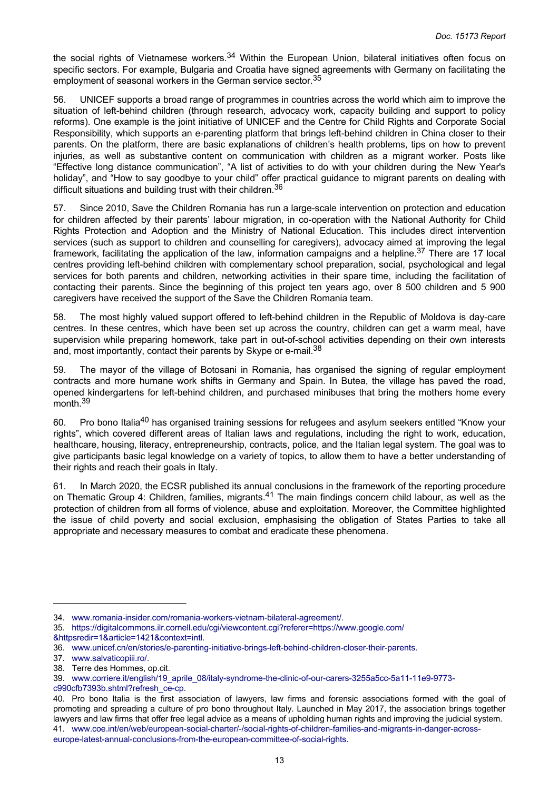the social rights of Vietnamese workers.<sup>34</sup> Within the European Union, bilateral initiatives often focus on specific sectors. For example, Bulgaria and Croatia have signed agreements with Germany on facilitating the employment of seasonal workers in the German service sector.<sup>35</sup>

56. UNICEF supports a broad range of programmes in countries across the world which aim to improve the situation of left-behind children (through research, advocacy work, capacity building and support to policy reforms). One example is the joint initiative of UNICEF and the Centre for Child Rights and Corporate Social Responsibility, which supports an e-parenting platform that brings left-behind children in China closer to their parents. On the platform, there are basic explanations of children's health problems, tips on how to prevent injuries, as well as substantive content on communication with children as a migrant worker. Posts like "Effective long distance communication", "A list of activities to do with your children during the New Year's holiday", and "How to say goodbye to your child" offer practical guidance to migrant parents on dealing with difficult situations and building trust with their children.<sup>36</sup>

57. Since 2010, Save the Children Romania has run a large-scale intervention on protection and education for children affected by their parents' labour migration, in co-operation with the National Authority for Child Rights Protection and Adoption and the Ministry of National Education. This includes direct intervention services (such as support to children and counselling for caregivers), advocacy aimed at improving the legal framework, facilitating the application of the law, information campaigns and a helpline.<sup>37</sup> There are 17 local centres providing left-behind children with complementary school preparation, social, psychological and legal services for both parents and children, networking activities in their spare time, including the facilitation of contacting their parents. Since the beginning of this project ten years ago, over 8 500 children and 5 900 caregivers have received the support of the Save the Children Romania team.

58. The most highly valued support offered to left-behind children in the Republic of Moldova is day-care centres. In these centres, which have been set up across the country, children can get a warm meal, have supervision while preparing homework, take part in out-of-school activities depending on their own interests and, most importantly, contact their parents by Skype or e-mail.<sup>38</sup>

59. The mayor of the village of Botosani in Romania, has organised the signing of regular employment contracts and more humane work shifts in Germany and Spain. In Butea, the village has paved the road, opened kindergartens for left-behind children, and purchased minibuses that bring the mothers home every month.<sup>39</sup>

60. Pro bono Italia<sup>40</sup> has organised training sessions for refugees and asylum seekers entitled "Know your rights", which covered different areas of Italian laws and regulations, including the right to work, education, healthcare, housing, literacy, entrepreneurship, contracts, police, and the Italian legal system. The goal was to give participants basic legal knowledge on a variety of topics, to allow them to have a better understanding of their rights and reach their goals in Italy.

61. In March 2020, the ECSR published its annual conclusions in the framework of the reporting procedure on Thematic Group 4: Children, families, migrants.<sup>41</sup> The main findings concern child labour, as well as the protection of children from all forms of violence, abuse and exploitation. Moreover, the Committee highlighted the issue of child poverty and social exclusion, emphasising the obligation of States Parties to take all appropriate and necessary measures to combat and eradicate these phenomena.

<sup>34.</sup> [www.romania-insider.com/romania-workers-vietnam-bilateral-agreement/.](https://www.romania-insider.com/romania-workers-vietnam-bilateral-agreement/)

<sup>35.</sup> [https://digitalcommons.ilr.cornell.edu/cgi/viewcontent.cgi?referer=https://www.google.com/](https://digitalcommons.ilr.cornell.edu/cgi/viewcontent.cgi?referer=https://www.google.com/&httpsredir=1&article=1421&context=intl) [&httpsredir=1&article=1421&context=intl.](https://digitalcommons.ilr.cornell.edu/cgi/viewcontent.cgi?referer=https://www.google.com/&httpsredir=1&article=1421&context=intl)

<sup>36.</sup> [www.unicef.cn/en/stories/e-parenting-initiative-brings-left-behind-children-closer-their-parents.](https://www.unicef.cn/en/stories/e-parenting-initiative-brings-left-behind-children-closer-their-parents)

<sup>37.</sup> [www.salvaticopiii.ro/.](https://www.salvaticopiii.ro/)

<sup>38.</sup> Terre des Hommes, op.cit.

<sup>39.</sup> [www.corriere.it/english/19\\_aprile\\_08/italy-syndrome-the-clinic-of-our-carers-3255a5cc-5a11-11e9-9773](https://www.corriere.it/english/19_aprile_08/italy-syndrome-the-clinic-of-our-carers-3255a5cc-5a11-11e9-9773-c990cfb7393b.shtml?refresh_ce-cp) [c990cfb7393b.shtml?refresh\\_ce-cp.](https://www.corriere.it/english/19_aprile_08/italy-syndrome-the-clinic-of-our-carers-3255a5cc-5a11-11e9-9773-c990cfb7393b.shtml?refresh_ce-cp)

<sup>40.</sup> Pro bono Italia is the first association of lawyers, law firms and forensic associations formed with the goal of promoting and spreading a culture of pro bono throughout Italy. Launched in May 2017, the association brings together lawyers and law firms that offer free legal advice as a means of upholding human rights and improving the judicial system. 41. [www.coe.int/en/web/european-social-charter/-/social-rights-of-children-families-and-migrants-in-danger-across](https://www.coe.int/en/web/european-social-charter/-/social-rights-of-children-families-and-migrants-in-danger-across-europe-latest-annual-conclusions-from-the-european-committee-of-social-rights)[europe-latest-annual-conclusions-from-the-european-committee-of-social-rights.](https://www.coe.int/en/web/european-social-charter/-/social-rights-of-children-families-and-migrants-in-danger-across-europe-latest-annual-conclusions-from-the-european-committee-of-social-rights)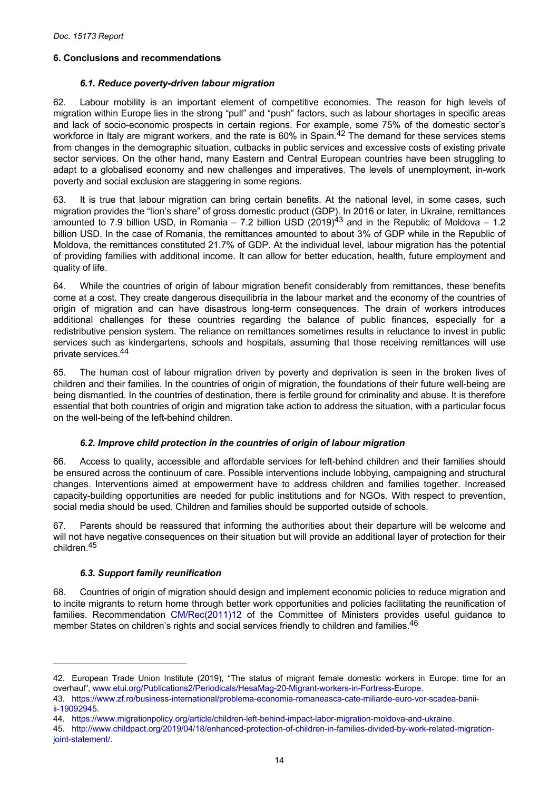## <span id="page-13-0"></span>**6. Conclusions and recommendations**

#### *6.1. Reduce poverty-driven labour migration*

62. Labour mobility is an important element of competitive economies. The reason for high levels of migration within Europe lies in the strong "pull" and "push" factors, such as labour shortages in specific areas and lack of socio-economic prospects in certain regions. For example, some 75% of the domestic sector's workforce in Italy are migrant workers, and the rate is 60% in Spain.<sup>42</sup> The demand for these services stems from changes in the demographic situation, cutbacks in public services and excessive costs of existing private sector services. On the other hand, many Eastern and Central European countries have been struggling to adapt to a globalised economy and new challenges and imperatives. The levels of unemployment, in-work poverty and social exclusion are staggering in some regions.

63. It is true that labour migration can bring certain benefits. At the national level, in some cases, such migration provides the "lion's share" of gross domestic product (GDP). In 2016 or later, in Ukraine, remittances amounted to 7.9 billion USD, in Romania – 7.2 billion USD (2019)<sup>43</sup> and in the Republic of Moldova – 1.2 billion USD. In the case of Romania, the remittances amounted to about 3% of GDP while in the Republic of Moldova, the remittances constituted 21.7% of GDP. At the individual level, labour migration has the potential of providing families with additional income. It can allow for better education, health, future employment and quality of life.

64. While the countries of origin of labour migration benefit considerably from remittances, these benefits come at a cost. They create dangerous disequilibria in the labour market and the economy of the countries of origin of migration and can have disastrous long-term consequences. The drain of workers introduces additional challenges for these countries regarding the balance of public finances, especially for a redistributive pension system. The reliance on remittances sometimes results in reluctance to invest in public services such as kindergartens, schools and hospitals, assuming that those receiving remittances will use private services.<sup>44</sup>

65. The human cost of labour migration driven by poverty and deprivation is seen in the broken lives of children and their families. In the countries of origin of migration, the foundations of their future well-being are being dismantled. In the countries of destination, there is fertile ground for criminality and abuse. It is therefore essential that both countries of origin and migration take action to address the situation, with a particular focus on the well-being of the left-behind children.

# *6.2. Improve child protection in the countries of origin of labour migration*

66. Access to quality, accessible and affordable services for left-behind children and their families should be ensured across the continuum of care. Possible interventions include lobbying, campaigning and structural changes. Interventions aimed at empowerment have to address children and families together. Increased capacity-building opportunities are needed for public institutions and for NGOs. With respect to prevention, social media should be used. Children and families should be supported outside of schools.

67. Parents should be reassured that informing the authorities about their departure will be welcome and will not have negative consequences on their situation but will provide an additional layer of protection for their children.<sup>45</sup>

# *6.3. Support family reunification*

68. Countries of origin of migration should design and implement economic policies to reduce migration and to incite migrants to return home through better work opportunities and policies facilitating the reunification of families. Recommendation [CM/Rec\(2011\)12](https://search.coe.int/cm/Pages/result_details.aspx?Reference=CM/Rec(2011)12) of the Committee of Ministers provides useful guidance to member States on children's rights and social services friendly to children and families.<sup>46</sup>

<sup>42.</sup> European Trade Union Institute (2019), "The status of migrant female domestic workers in Europe: time for an overhaul", [www.etui.org/Publications2/Periodicals/HesaMag-20-Migrant-workers-in-Fortress-Europe.](https://www.etui.org/Publications2/Periodicals/HesaMag-20-Migrant-workers-in-Fortress-Europe)

<sup>43.</sup> [https://www.zf.ro/business-international/problema-economia-romaneasca-cate-miliarde-euro-vor-scadea-banii-](https://www.zf.ro/business-international/problema-economia-romaneasca-cate-miliarde-euro-vor-scadea-banii-ii-19092945)

[ii-19092945.](https://www.zf.ro/business-international/problema-economia-romaneasca-cate-miliarde-euro-vor-scadea-banii-ii-19092945)

<sup>44.</sup> [https://www.migrationpolicy.org/article/children-left-behind-impact-labor-migration-moldova-and-ukraine.](https://www.migrationpolicy.org/article/children-left-behind-impact-labor-migration-moldova-and-ukraine)

<sup>45.</sup> [http://www.childpact.org/2019/04/18/enhanced-protection-of-children-in-families-divided-by-work-related-migration](http://www.childpact.org/2019/04/18/enhanced-protection-of-children-in-families-divided-by-work-related-migration-joint-statement/)[joint-statement/.](http://www.childpact.org/2019/04/18/enhanced-protection-of-children-in-families-divided-by-work-related-migration-joint-statement/)